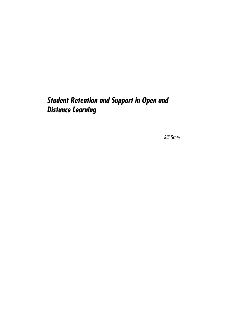# **Student Retention and Support in Open and Distance Learning**

Bill Grote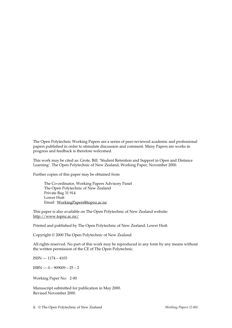The Open Polytechnic Working Papers are a series of peer-reviewed academic and professional papers published in order to stimulate discussion and comment. Many Papers are works in progress and feedback is therefore welcomed.

This work may be cited as: Grote, Bill. 'Student Retention and Support in Open and Distance Learning'. The Open Polytechnic of New Zealand, Working Paper, November 2000.

Further copies of this paper may be obtained from

The Co-ordinator, Working Papers Advisory Panel The Open Polytechnic of New Zealand Private Bag 31 914 Lower Hutt Email: WorkingPapers@topnz.ac.nz

This paper is also available on The Open Polytechnic of New Zealand website: http://www.topnz.ac.nz/

Printed and published by The Open Polytechnic of New Zealand, Lower Hutt.

Copyright © 2000 The Open Polytechnic of New Zealand.

All rights reserved. No part of this work may be reproduced in any form by any means without the written permission of the CE of The Open Polytechnic.

ISSN — 1174 – 4103

 $ISBN - 0 - 909009 - 25 - 2$ 

Working Paper No: 2-00

Manuscript submitted for publication in May 2000. Revised November 2000.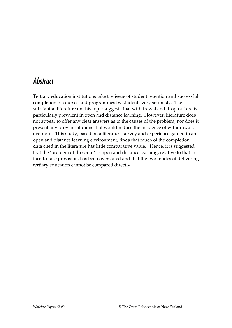# Abstract

Tertiary education institutions take the issue of student retention and successful completion of courses and programmes by students very seriously. The substantial literature on this topic suggests that withdrawal and drop-out are is particularly prevalent in open and distance learning. However, literature does not appear to offer any clear answers as to the causes of the problem, nor does it present any proven solutions that would reduce the incidence of withdrawal or drop-out. This study, based on a literature survey and experience gained in an open and distance learning environment, finds that much of the completion data cited in the literature has little comparative value. Hence, it is suggested that the 'problem of drop-out' in open and distance learning, relative to that in face-to-face provision, has been overstated and that the two modes of delivering tertiary education cannot be compared directly.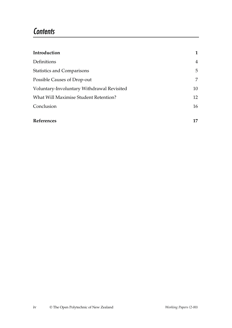### **Contents**

| Introduction                               | 1              |
|--------------------------------------------|----------------|
| Definitions                                | $\overline{4}$ |
| <b>Statistics and Comparisons</b>          | 5              |
| Possible Causes of Drop-out                | 7              |
| Voluntary-Involuntary Withdrawal Revisited | 10             |
| What Will Maximise Student Retention?      | 12             |
| Conclusion                                 | 16             |
|                                            |                |
| <b>References</b>                          | 17             |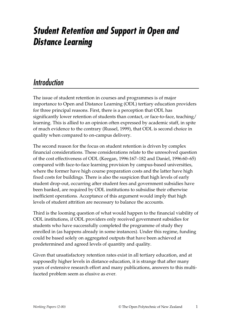# **Student Retention and Support in Open and Distance Learning**

## Introduction

The issue of student retention in courses and programmes is of major importance to Open and Distance Learning (ODL) tertiary education providers for three principal reasons. First, there is a perception that ODL has significantly lower retention of students than contact, or face-to-face, teaching/ learning. This is allied to an opinion often expressed by academic staff, in spite of much evidence to the contrary (Russel, 1999), that ODL is second choice in quality when compared to on-campus delivery.

The second reason for the focus on student retention is driven by complex financial considerations. These considerations relate to the unresolved question of the cost effectiveness of ODL (Keegan, 1996:167–182 and Daniel, 1996:60–65) compared with face-to-face learning provision by campus-based universities, where the former have high course preparation costs and the latter have high fixed costs for buildings. There is also the suspicion that high levels of early student drop-out, occurring after student fees and government subsidies have been banked, are required by ODL institutions to subsidise their otherwise inefficient operations. Acceptance of this argument would imply that high levels of student attrition are necessary to balance the accounts.

Third is the looming question of what would happen to the financial viability of ODL institutions, if ODL providers only received government subsidies for students who have successfully completed the programme of study they enrolled in (as happens already in some instances). Under this regime, funding could be based solely on aggregated outputs that have been achieved at predetermined and agreed levels of quantity and quality.

Given that unsatisfactory retention rates exist in all tertiary education, and at supposedly higher levels in distance education, it is strange that after many years of extensive research effort and many publications, answers to this multifaceted problem seem as elusive as ever.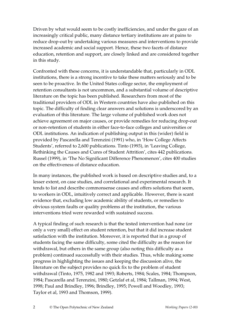Driven by what would seem to be costly inefficiencies, and under the gaze of an increasingly critical public, many distance tertiary institutions are at pains to reduce drop-out by undertaking various measures and interventions to provide increased academic and social support. Hence, these two facets of distance education, retention and support, are closely linked and are considered together in this study.

Confronted with these concerns, it is understandable that, particularly in ODL institutions, there is a strong incentive to take these matters seriously and to be seen to be proactive. In the United States college sector, the employment of retention consultants is not uncommon, and a substantial volume of descriptive literature on the topic has been published. Researchers from most of the traditional providers of ODL in Western countries have also published on this topic. The difficulty of finding clear answers and solutions is underscored by an evaluation of this literature. The large volume of published work does not achieve agreement on major causes, or provide remedies for reducing drop-out or non-retention of students in either face-to-face colleges and universities or ODL institutions. An indication of publishing output in this (wider) field is provided by Pascarella and Terenzini (1991) who, in 'How College Affects Students', referred to 2,600 publications. Tinto (1993), in 'Leaving College, Rethinking the Causes and Cures of Student Attrition', cites 442 publications. Russel (1999), in 'The No Significant Difference Phenomenon', cites 400 studies on the effectiveness of distance education.

In many instances, the published work is based on descriptive studies and, to a lesser extent, on case studies, and correlational and experimental research. It tends to list and describe commonsense causes and offers solutions that seem, to workers in ODL, intuitively correct and applicable. However, there is scant evidence that, excluding low academic ability of students, or remedies to obvious system faults or quality problems at the institution, the various interventions tried were rewarded with sustained success.

A typical finding of such research is that the tested intervention had none (or only a very small) effect on student retention, but that it did increase student satisfaction with the institution. Moreover, it is reported that in a group of students facing the same difficulty, some cited the difficulty as the reason for withdrawal, but others in the same group (also noting this difficulty as a problem) continued successfully with their studies. Thus, while making some progress in highlighting the issues and keeping the discussion alive, the literature on the subject provides no quick fix to the problem of student withdrawal (Tinto, 1975, 1982 and 1993; Roberts, 1984; Scales, 1984; Thompson, 1984; Pascarella and Terenzini, 1980; Getzlaf et al, 1984; Tallman, 1994; West, 1998; Paul and Brindley, 1996; Brindley, 1995; Powell and Woodley, 1993; Taylor et al, 1993 and Thomson, 1999).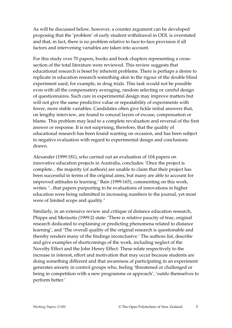As will be discussed below, however, a counter argument can be developed proposing that the 'problem' of early student withdrawal in ODL is overstated and that, in fact, there is no problem relative to face-to-face provision if all factors and intervening variables are taken into account.

For this study over 70 papers, books and book chapters representing a crosssection of the total literature were reviewed. This review suggests that educational research is beset by inherent problems. There is perhaps a desire to replicate in education research something akin to the rigour of the double blind experiment used, for example, in drug trials. This task would not be possible even with all the compensatory averaging, random selecting or careful design of questionnaires. Such care in experimental design may improve matters but will not give the same predictive value or repeatability of experiments with fewer, more stable variables. Candidates often give fickle initial answers that, on lengthy interview, are found to conceal layers of excuse, compensation or blame. This problem may lead to a complete revaluation and reversal of the first answer or response. It is not surprising, therefore, that the quality of educational research has been found wanting on occasion, and has been subject to negative evaluation with regard to experimental design and conclusions drawn.

Alexander (1999:181), who carried out an evaluation of 104 papers on innovative education projects in Australia, concludes: 'Once the project is complete... the majority (of authors) are unable to claim that their project has been successful in terms of the original aims, but many are able to account for improved attitudes to learning.' Bain (1999:165), commenting on this work, writes: '...that papers purporting to be evaluations of innovations in higher education were being submitted in increasing numbers to the journal, yet most were of limited scope and quality.'

Similarly, in an extensive review and critique of distance education research, Phipps and Merisotis (1999:2) state: 'There is relative paucity of true, original research dedicated to explaining or predicting phenomena related to distance learning', and 'The overall quality of the original research is questionable and thereby renders many of the findings inconclusive.' The authors list, describe and give examples of shortcomings of the work, including neglect of the Novelty Effect and the John Henry Effect. These relate respectively to the increase in interest, effort and motivation that may occur because students are doing something different and that awareness of participating in an experiment generates anxiety in control groups who, feeling 'threatened or challenged or being in competition with a new programme or approach', 'outdo themselves to perform better.'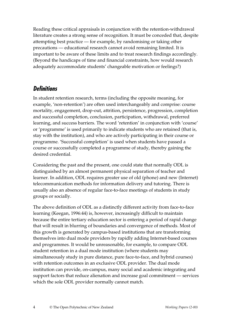Reading these critical appraisals in conjunction with the retention-withdrawal literature creates a strong sense of recognition. It must be conceded that, despite attempting best practice — for example, by randomising or taking other precautions — educational research cannot avoid remaining limited. It is important to be aware of these limits and to treat research findings accordingly. (Beyond the handicaps of time and financial constraints, how would research adequately accommodate students' changeable motivation or feelings?)

#### **Definitions**

In student retention research, terms (including the opposite meaning, for example, 'non-retention') are often used interchangeably and comprise: course mortality, engagement, drop-out, attrition, persistence, progression, completion and successful completion, conclusion, participation, withdrawal, preferred learning, and success barriers. The word 'retention' in conjunction with 'course' or 'programme' is used primarily to indicate students who are retained (that is, stay with the institution), and who are actively participating in their course or programme. 'Successful completion' is used when students have passed a course or successfully completed a programme of study, thereby gaining the desired credential.

Considering the past and the present, one could state that normally ODL is distinguished by an almost permanent physical separation of teacher and learner. In addition, ODL requires greater use of old (phone) and new (Internet) telecommunication methods for information delivery and tutoring. There is usually also an absence of regular face-to-face meetings of students in study groups or socially.

The above definition of ODL as a distinctly different activity from face-to-face learning (Keegan, 1996:44) is, however, increasingly difficult to maintain because the entire tertiary education sector is entering a period of rapid change that will result in blurring of boundaries and convergence of methods. Most of this growth is generated by campus-based institutions that are transforming themselves into dual mode providers by rapidly adding Internet-based courses and programmes. It would be unreasonable, for example, to compare ODL student retention in a dual mode institution (where students may simultaneously study in pure distance, pure face-to-face, and hybrid courses) with retention outcomes in an exclusive ODL provider. The dual mode institution can provide, on-campus, many social and academic integrating and support factors that reduce alienation and increase goal commitment — services which the sole ODL provider normally cannot match.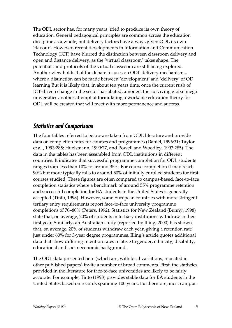The ODL sector has, for many years, tried to produce its own theory of education. General pedagogical principles are common across the education discipline as a whole, but delivery factors have always given ODL its own 'flavour'. However, recent developments in Information and Communication Technology (ICT) have blurred the distinction between classroom delivery and open and distance delivery, as the 'virtual classroom' takes shape. The potentials and protocols of the virtual classroom are still being explored. Another view holds that the debate focuses on ODL delivery mechanisms, where a distinction can be made between 'development' and 'delivery' of OD learning But it is likely that, in about ten years time, once the current rush of ICT-driven change in the sector has abated, amongst the surviving global mega universities another attempt at formulating a workable education theory for ODL will be created that will meet with more permanence and success.

#### **Statistics and Comparisons**

The four tables referred to below are taken from ODL literature and provide data on completion rates for courses and programmes (Daniel, 1996:31; Taylor et al., 1993:285; Huelsmann, 1999:77, and Powell and Woodley, 1993:285). The data in the tables has been assembled from ODL institutions in different countries. It indicates that successful programme completion for ODL students ranges from less than 10% to around 35%. For course completion it may reach 90% but more typically falls to around 50% of initially enrolled students for first courses studied. These figures are often compared to campus-based, face-to-face completion statistics where a benchmark of around 55% programme retention and successful completion for BA students in the United States is generally accepted (Tinto, 1993). However, some European countries with more stringent tertiary entry requirements report face-to-face university programme completions of 70–80% (Peters, 1992). Statistics for New Zealand (Bunny, 1998) state that, on average, 20% of students in tertiary institutions withdraw in their first year. Similarly, an Australian study (reported by Illing, 2000) has shown that, on average, 20% of students withdraw each year, giving a retention rate just under 60% for 3-year degree programmes. Illing's article quotes additional data that show differing retention rates relative to gender, ethnicity, disability, educational and socio-economic background.

The ODL data presented here (which are, with local variations, repeated in other published papers) invite a number of broad comments. First, the statistics provided in the literature for face-to-face universities are likely to be fairly accurate. For example, Tinto (1993) provides stable data for BA students in the United States based on records spanning 100 years. Furthermore, most campus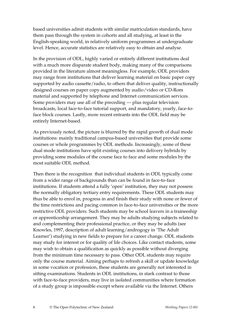based universities admit students with similar matriculation standards, have them pass through the system in cohorts and all studying, at least in the English-speaking world, in relatively uniform programmes at undergraduate level. Hence, accurate statistics are relatively easy to obtain and analyse.

In the provision of ODL, highly varied or entirely different institutions deal with a much more disparate student body, making many of the comparisons provided in the literature almost meaningless. For example, ODL providers may range from institutions that deliver learning material on basic paper copy supported by audio cassette/radio, to others that deliver quality, instructionally designed courses on paper copy augmented by audio/video or CD-Rom material and supported by telephone and Internet communication services. Some providers may use all of the preceding — plus regular television broadcasts, local face-to-face tutorial support, and mandatory, yearly, face-toface block courses. Lastly, more recent entrants into the ODL field may be entirely Internet-based.

As previously noted, the picture is blurred by the rapid growth of dual mode institutions: mainly traditional campus-based universities that provide some courses or whole programmes by ODL methods. Increasingly, some of these dual mode institutions have split existing courses into delivery hybrids by providing some modules of the course face to face and some modules by the most suitable ODL method.

Then there is the recognition that individual students in ODL typically come from a wider range of backgrounds than can be found in face-to-face institutions. If students attend a fully 'open' institution, they may not possess the normally obligatory tertiary entry requirements. These ODL students may thus be able to enrol in, progress in and finish their study with none or fewer of the time restrictions and pacing common in face-to-face universities or the more restrictive ODL providers. Such students may be school leavers in a traineeship or apprenticeship arrangement. They may be adults studying subjects related to and complementing their professional practice, or they may be adults (see Knowles, 1997, description of adult learning/androgogy in 'The Adult Learner') studying in new fields to prepare for a career change. ODL students may study for interest or for quality of life choices. Like contact students, some may wish to obtain a qualification as quickly as possible without diverging from the minimum time necessary to pass. Other ODL students may require only the course material. Aiming perhaps to refresh a skill or update knowledge in some vocation or profession, these students are generally not interested in sitting examinations. Students in ODL institutions, in stark contrast to those with face-to-face providers, may live in isolated communities where formation of a study group is impossible except where available via the Internet. Others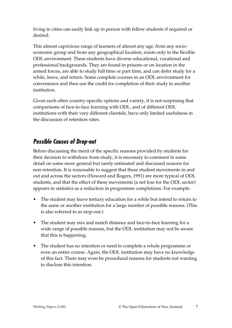living in cities can easily link up in person with fellow students if required or desired.

This almost capricious range of learners of almost any age, from any socioeconomic group and from any geographical location, exists only in the flexible ODL environment. These students have diverse educational, vocational and professional backgrounds. They are found in prisons or on location in the armed forces, are able to study full time or part time, and can defer study for a while, leave, and return. Some complete courses in an ODL environment for convenience and then use the credit for completion of their study in another institution.

Given such often country-specific options and variety, it is not surprising that comparisons of face-to-face learning with ODL, and of different ODL institutions with their very different clientele, have only limited usefulness in the discussion of retention rates.

### **Possible Causes of Drop-out**

Before discussing the merit of the specific reasons provided by students for their decision to withdraw from study, it is necessary to comment in some detail on some more general but rarely estimated and discussed reasons for non-retention. It is reasonable to suggest that these student movements in and out and across the sectors (Howard and Rogers, 1991) are more typical of ODL students, and that the effect of these movements (a net loss for the ODL sector) appears in statistics as a reduction in programme completions. For example:

- The student may leave tertiary education for a while but intend to return to the same or another institution for a large number of possible reasons. (This is also referred to as stop-out.)
- The student may mix and match distance and face-to-face learning for a wide range of possible reasons, but the ODL institution may not be aware that this is happening.
- The student has no intention or need to complete a whole programme or even an entire course. Again, the ODL institution may have no knowledge of this fact. There may even be procedural reasons for students not wanting to disclose this intention.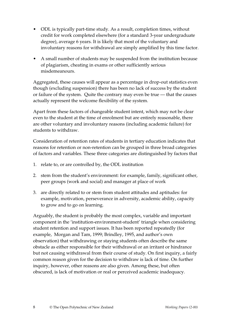- ODL is typically part-time study. As a result, completion times, without credit for work completed elsewhere (for a standard 3-year undergraduate degree), average 6 years. It is likely that most of the voluntary and involuntary reasons for withdrawal are simply amplified by this time factor.
- A small number of students may be suspended from the institution because of plagiarism, cheating in exams or other sufficiently serious misdemeanours.

Aggregated, these causes will appear as a percentage in drop-out statistics even though (excluding suspension) there has been no lack of success by the student or failure of the system. Quite the contrary may even be true — that the causes actually represent the welcome flexibility of the system.

Apart from these factors of changeable student intent, which may not be clear even to the student at the time of enrolment but are entirely reasonable, there are other voluntary and involuntary reasons (including academic failure) for students to withdraw.

Consideration of retention rates of students in tertiary education indicates that reasons for retention or non-retention can be grouped in three broad categories of factors and variables. These three categories are distinguished by factors that

- 1. relate to, or are controlled by, the ODL institution
- 2. stem from the student's environment: for example, family, significant other, peer groups (work and social) and manager at place of work
- 3. are directly related to or stem from student attitudes and aptitudes: for example, motivation, perseverance in adversity, academic ability, capacity to grow and to go on learning.

Arguably, the student is probably the most complex, variable and important component in the 'institution-environment-student' triangle when considering student retention and support issues. It has been reported repeatedly (for example, Morgan and Tam, 1999; Brindley, 1995, and author's own observation) that withdrawing or staying students often describe the same obstacle as either responsible for their withdrawal or an irritant or hindrance but not causing withdrawal from their course of study. On first inquiry, a fairly common reason given for the decision to withdraw is lack of time. On further inquiry, however, other reasons are also given. Among these, but often obscured, is lack of motivation or real or perceived academic inadequacy.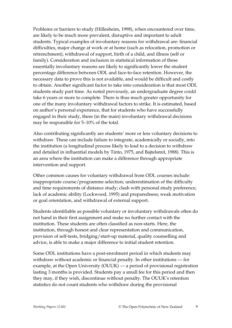Problems or barriers to study (Hillesheim, 1998), when encountered over time, are likely to be much more prevalent, disruptive and important to adult students. Typical examples of involuntary reasons for withdrawal are: financial difficulties, major change at work or at home (such as relocation, promotion or retrenchment), withdrawal of support, birth of a child, and illness (self or family). Consideration and inclusion in statistical information of these essentially involuntary reasons are likely to significantly lower the student percentage difference between ODL and face-to-face retention. However, the necessary data to prove this is not available, and would be difficult and costly to obtain. Another significant factor to take into consideration is that most ODL students study part time. As noted previously, an undergraduate degree could take 6 years or more to complete. There is thus much greater opportunity for one of the many involuntary withdrawal factors to strike. It is estimated, based on author's personal experience, that for students who have successfully engaged in their study, these (in the main) involuntary withdrawal decisions may be responsible for 5–10% of the total.

Also contributing significantly are students' more or less voluntary decisions to withdraw. These can include failure to integrate, academically or socially, into the institution (a longitudinal process likely to lead to a decision to withdraw and detailed in influential models by Tinto, 1975, and Bajtelsmit, 1988). This is an area where the institution can make a difference through appropriate intervention and support.

Other common causes for voluntary withdrawal from ODL courses include: inappropriate course/programme selection; underestimation of the difficulty and time requirements of distance study; clash with personal study preference; lack of academic ability (Lockwood, 1995) and preparedness; weak motivation or goal orientation, and withdrawal of external support.

Students identifiable as possible voluntary or involuntary withdrawals often do not hand in their first assignment and make no further contact with the institution. These students are often classified as non-starts. Here, the institution, through honest and clear representation and communication, provision of self-tests, bridging/start-up material, quality counselling and advice, is able to make a major difference to initial student retention.

Some ODL institutions have a post-enrolment period in which students may withdraw without academic or financial penalty. In other institutions — for example, at the Open University (OUUK) — a period of provisional registration lasting 3 months is provided. Students pay a small fee for this period and then they may, if they wish, discontinue without penalty. The OUUK's retention statistics do not count students who withdraw during the provisional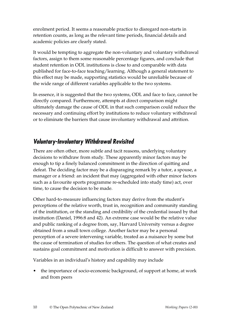enrolment period. It seems a reasonable practice to disregard non-starts in retention counts, as long as the relevant time periods, financial details and academic policies are clearly stated.

It would be tempting to aggregate the non-voluntary and voluntary withdrawal factors, assign to them some reasonable percentage figures, and conclude that student retention in ODL institutions is close to and comparable with data published for face-to-face teaching/learning. Although a general statement to this effect may be made, supporting statistics would be unreliable because of the wide range of different variables applicable to the two systems.

In essence, it is suggested that the two systems, ODL and face to face, cannot be directly compared. Furthermore, attempts at direct comparison might ultimately damage the cause of ODL in that such comparison could reduce the necessary and continuing effort by institutions to reduce voluntary withdrawal or to eliminate the barriers that cause involuntary withdrawal and attrition.

### **Voluntary-Involuntary Withdrawal Revisited**

There are often other, more subtle and tacit reasons, underlying voluntary decisions to withdraw from study. These apparently minor factors may be enough to tip a finely balanced commitment in the direction of quitting and defeat. The deciding factor may be a disparaging remark by a tutor, a spouse, a manager or a friend: an incident that may (aggregated with other minor factors such as a favourite sports programme re-scheduled into study time) act, over time, to cause the decision to be made.

Other hard-to-measure influencing factors may derive from the student's perceptions of the relative worth, trust in, recognition and community standing of the institution, or the standing and credibility of the credential issued by that institution (Daniel, 1996:8 and 42). An extreme case would be the relative value and public ranking of a degree from, say, Harvard University versus a degree obtained from a small town college. Another factor may be a personal perception of a severe intervening variable, treated as a nuisance by some but the cause of termination of studies for others. The question of what creates and sustains goal commitment and motivation is difficult to answer with precision.

Variables in an individual's history and capability may include

• the importance of socio-economic background, of support at home, at work and from peers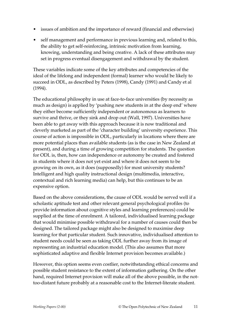- issues of ambition and the importance of reward (financial and otherwise)
- self management and performance in previous learning and, related to this, the ability to get self-reinforcing, intrinsic motivation from learning, knowing, understanding and being creative. A lack of these attributes may set in progress eventual disengagement and withdrawal by the student.

These variables indicate some of the key attributes and competencies of the ideal of the lifelong and independent (formal) learner who would be likely to succeed in ODL, as described by Peters (1998), Candy (1991) and Candy et al (1994).

The educational philosophy in use at face-to-face universities (by necessity as much as design) is applied by 'pushing new students in at the deep end' where they either become sufficiently independent or autonomous as learners to survive and thrive, or they sink and drop out (Wall, 1997). Universities have been able to get away with this approach because it is now traditional and cleverly marketed as part of the 'character building' university experience. This course of action is impossible in ODL, particularly in locations where there are more potential places than available students (as is the case in New Zealand at present), and during a time of growing competition for students. The question for ODL is, then, how can independence or autonomy be created and fostered in students where it does not yet exist and where it does not seem to be growing on its own, as it does (supposedly) for most university students? Intelligent and high quality instructional design (multimedia, interactive, contextual and rich learning media) can help, but this continues to be an expensive option.

Based on the above considerations, the cause of ODL would be served well if a scholastic aptitude test and other relevant general psychological profiles (to provide information about cognitive styles and learning preferences) could be supplied at the time of enrolment. A tailored, individualised learning package that would minimise possible withdrawal for a number of causes could then be designed. The tailored package might also be designed to maximise deep learning for that particular student. Such innovative, individualised attention to student needs could be seen as taking ODL further away from its image of representing an industrial education model. (This also assumes that more sophisticated adaptive and flexible Internet provision becomes available.)

However, this option seems even costlier, notwithstanding ethical concerns and possible student resistance to the extent of information gathering. On the other hand, required Internet provision will make all of the above possible, in the nottoo-distant future probably at a reasonable cost to the Internet-literate student.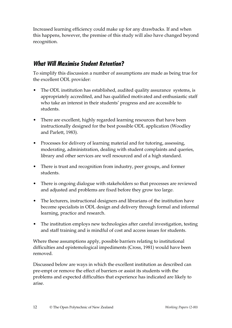Increased learning efficiency could make up for any drawbacks. If and when this happens, however, the premise of this study will also have changed beyond recognition.

### **What Will Maximise Student Retention?**

To simplify this discussion a number of assumptions are made as being true for the excellent ODL provider:

- The ODL institution has established, audited quality assurance systems, is appropriately accredited, and has qualified motivated and enthusiastic staff who take an interest in their students' progress and are accessible to students.
- There are excellent, highly regarded learning resources that have been instructionally designed for the best possible ODL application (Woodley and Parlett, 1983).
- Processes for delivery of learning material and for tutoring, assessing, moderating, administration, dealing with student complaints and queries, library and other services are well resourced and of a high standard.
- There is trust and recognition from industry, peer groups, and former students.
- There is ongoing dialogue with stakeholders so that processes are reviewed and adjusted and problems are fixed before they grow too large.
- The lecturers, instructional designers and librarians of the institution have become specialists in ODL design and delivery through formal and informal learning, practice and research.
- The institution employs new technologies after careful investigation, testing and staff training and is mindful of cost and access issues for students.

Where these assumptions apply, possible barriers relating to institutional difficulties and epistemological impediments (Cross, 1981) would have been removed.

Discussed below are ways in which the excellent institution as described can pre-empt or remove the effect of barriers or assist its students with the problems and expected difficulties that experience has indicated are likely to arise.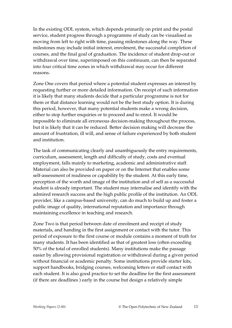In the existing ODL system, which depends primarily on print and the postal service, student progress through a programme of study can be visualised as moving from left to right with time, passing milestones along the way. These milestones may include initial interest, enrolment, the successful completion of courses, and the final goal of graduation. The incidence of student drop-out or withdrawal over time, superimposed on this continuum, can then be separated into four critical time zones in which withdrawal may occur for different reasons.

Zone One covers that period where a potential student expresses an interest by requesting further or more detailed information. On receipt of such information it is likely that many students decide that a particular programme is not for them or that distance learning would not be the best study option. It is during this period, however, that many potential students make a wrong decision, either to stop further enquiries or to proceed and to enrol. It would be impossible to eliminate all erroneous decision-making throughout the process, but it is likely that it can be reduced. Better decision making will decrease the amount of frustration, ill will, and sense of failure experienced by both student and institution.

The task of communicating clearly and unambiguously the entry requirements, curriculum, assessment, length and difficulty of study, costs and eventual employment, falls mainly to marketing, academic and administrative staff. Material can also be provided on paper or on the Internet that enables some self-assessment of readiness or capability by the student. At this early time, perception of the worth and image of the institution and of self as a successful student is already important. The student may internalise and identify with the admired research success and the high public profile of the institution. An ODL provider, like a campus-based university, can do much to build up and foster a public image of quality, international reputation and importance through maintaining excellence in teaching and research.

Zone Two is that period between date of enrolment and receipt of study materials, and handing in the first assignment or contact with the tutor. This period of exposure to the first course or module contains a moment of truth for many students. It has been identified as that of greatest loss (often exceeding 50% of the total of enrolled students). Many institutions make the passage easier by allowing provisional registration or withdrawal during a given period without financial or academic penalty. Some institutions provide starter kits, support handbooks, bridging courses, welcoming letters or staff contact with each student. It is also good practice to set the deadline for the first assessment (if there are deadlines ) early in the course but design a relatively simple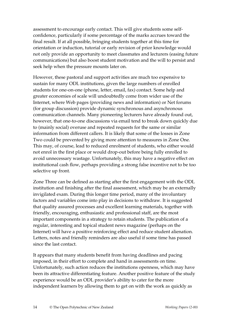assessment to encourage early contact. This will give students some selfconfidence, particularly if some percentage of the marks accrues toward the final result. If at all possible, bringing students together at this time for orientation or induction, tutorial or early revision of prior knowledge would not only provide an opportunity to meet classmates and lecturers (easing future communications) but also boost student motivation and the will to persist and seek help when the pressure mounts later on.

However, these pastoral and support activities are much too expensive to sustain for many ODL institutions, given the large numbers of enrolled students for one-on-one (phone, letter, email, fax) contact. Some help and greater economies of scale will undoubtedly come from wider use of the Internet, where Web pages (providing news and information) or Net forums (for group discussion) provide dynamic synchronous and asynchronous communication channels. Many pioneering lecturers have already found out, however, that one-to-one discussions via email tend to break down quickly due to (mainly social) overuse and repeated requests for the same or similar information from different callers. It is likely that some of the losses in Zone Two could be prevented by giving more attention to measures in Zone One. This may, of course, lead to reduced enrolment of students, who either would not enrol in the first place or would drop-out before being fully enrolled to avoid unnecessary wastage. Unfortunately, this may have a negative effect on institutional cash flow, perhaps providing a strong false incentive not to be too selective up front.

Zone Three can be defined as starting after the first engagement with the ODL institution and finishing after the final assessment, which may be an externally invigilated exam. During this longer time period, many of the involuntary factors and variables come into play in decisions to withdraw. It is suggested that quality assured processes and excellent learning materials, together with friendly, encouraging, enthusiastic and professional staff, are the most important components in a strategy to retain students. The publication of a regular, interesting and topical student news magazine (perhaps on the Internet) will have a positive reinforcing effect and reduce student alienation. Letters, notes and friendly reminders are also useful if some time has passed since the last contact.

It appears that many students benefit from having deadlines and pacing imposed, in their effort to complete and hand in assessments on time. Unfortunately, such action reduces the institutions openness, which may have been its attractive differentiating feature. Another positive feature of the study experience would be an ODL provider's ability to cater for the more independent learners by allowing them to get on with the work as quickly as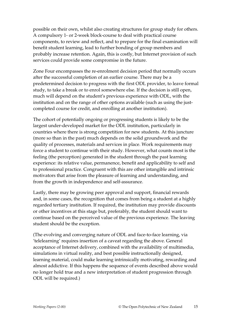possible on their own, whilst also creating structures for group study for others. A compulsory 1- or 2-week block-course to deal with practical course components, to review and reflect, and to prepare for the final examination will benefit student learning, lead to further bonding of group members and probably increase retention. Again, this is costly, but Internet provision of such services could provide some compromise in the future.

Zone Four encompasses the re-enrolment decision period that normally occurs after the successful completion of an earlier course. There may be a predetermined decision to progress with the first ODL provider, to leave formal study, to take a break or to enrol somewhere else. If the decision is still open, much will depend on the student's previous experience with ODL, with the institution and on the range of other options available (such as using the justcompleted course for credit, and enrolling at another institution).

The cohort of potentially ongoing or progressing students is likely to be the largest under-developed market for the ODL institution, particularly in countries where there is strong competition for new students. At this juncture (more so than in the past) much depends on the solid groundwork and the quality of processes, materials and services in place. Work requirements may force a student to continue with their study. However, what counts most is the feeling (the perception) generated in the student through the past learning experience: its relative value, permanence, benefit and applicability to self and to professional practice. Congruent with this are other intangible and intrinsic motivators that arise from the pleasure of learning and understanding, and from the growth in independence and self-assurance.

Lastly, there may be growing peer approval and support, financial rewards and, in some cases, the recognition that comes from being a student at a highly regarded tertiary institution. If required, the institution may provide discounts or other incentives at this stage but, preferably, the student should want to continue based on the perceived value of the previous experience. The leaving student should be the exception.

(The evolving and converging nature of ODL and face-to-face learning, via 'telelearning' requires insertion of a caveat regarding the above. General acceptance of Internet delivery, combined with the availability of multimedia, simulations in virtual reality, and best possible instructionally designed, learning material, could make learning intrinsically motivating, rewarding and almost addictive. If this happens the sequence of events described above would no longer hold true and a new interpretation of student progression through ODL will be required.)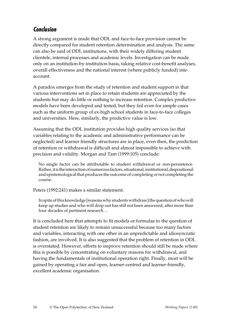### **Conclusion**

A strong argument is made that ODL and face-to-face provision cannot be directly compared for student retention determination and analysis. The same can also be said of ODL institutions, with their widely differing student clientele, internal processes and academic levels. Investigation can be made only on an institution-by-institution basis, taking relative cost-benefit analyses, overall effectiveness and the national interest (where publicly funded) into account.

A paradox emerges from the study of retention and student support in that various interventions set in place to retain students are appreciated by the students but may do little or nothing to increase retention. Complex predictive models have been developed and tested, but they fail even for simple cases such as the uniform group of ex-high school students in face-to-face colleges and universities. Here, similarly, the predictive value is low.

Assuming that the ODL institution provides high quality services (so that variables relating to the academic and administrative performance can be neglected) and learner friendly structures are in place, even then, the prediction of retention or withdrawal is difficult and almost impossible to achieve with precision and validity. Morgan and Tam (1999:105) conclude:

No single factor can be attributable to student withdrawal or non-persistence. Rather, it is the interaction of numerous factors, situational, institutional, dispositional and epistemological that produces the outcome of completing or not completing the course.

Peters (1992:241) makes a similar statement:

In spite of this knowledge [reasons why students withdraw] the question of who will keep up studies and who will drop out has still not been answered, after more than four decades of pertinent research…

It is concluded here that attempts to fit models or formulae to the question of student retention are likely to remain unsuccessful because too many factors and variables, interacting with one other in an unpredictable and idiosyncratic fashion, are involved. It is also suggested that the problem of retention in ODL is overstated. However, efforts to improve retention should still be made where this is possible by concentrating on voluntary reasons for withdrawal, and having the fundamentals of institutional operation right. Finally, most will be gained by operating a fair and open, learner-centred and learner-friendly, excellent academic organisation.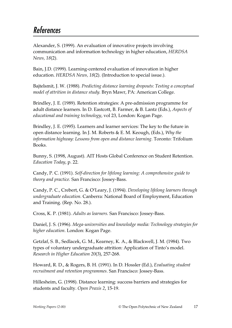# References

Alexander, S. (1999). An evaluation of innovative projects involving communication and information technology in higher education, *HERDSA News, 18*(2).

Bain, J.D. (1999). Learning-centered evaluation of innovation in higher education. *HERDSA News, 18*(2). (Introduction to special issue.).

Bajtelsmit, J. W. (1988). *Predicting distance learning dropouts: Testing a conceptual model of attrition in distance study.* Bryn Mawr, PA: American College.

Brindley, J. E. (1989). Retention strategies: A pre-admission programme for adult distance learners. In D. Eastcott, B. Farmer, & B. Lantz (Eds.), *Aspects of educational and training technology*, vol 23, London: Kogan Page.

Brindley, J. E. (1995). Learners and learner services: The key to the future in open distance learning. In J. M. Roberts & E. M. Keough, (Eds.), *Why the information highway: Lessons from open and distance learning.* Toronto: Trifolium Books.

Bunny, S. (1998, August). AIT Hosts Global Conference on Student Retention. *Education Today*, p. 22.

Candy, P. C. (1991). *Self-direction for lifelong learning: A comprehensive guide to theory and practice.* San Francisco: Jossey-Bass.

Candy, P. C., Crebert, G. & O'Leary, J. (1994). *Developing lifelong learners through undergraduate education.* Canberra: National Board of Employment, Education and Training. (Rep. No. 28.).

Cross, K. P. (1981). *Adults as learners.* San Francisco: Jossey-Bass.

Daniel, J. S. (1996). *Mega-universities and knowledge media: Technology strategies for higher education*. London: Kogan Page.

Getzlaf, S. B., Sedlacek, G. M., Kearney, K. A., & Blackwell, J. M. (1984). Two types of voluntary undergraduate attrition: Application of Tinto's model. *Research in Higher Education 20*(3), 257-268.

Howard, R. D., & Rogers, B. H. (1991). In D. Hossler (Ed.), *Evaluating student recruitment and retention programmes*. San Francisco: Jossey-Bass.

Hillesheim, G. (1998). Distance learning: success barriers and strategies for students and faculty. *Open Praxis 2*, 15-19.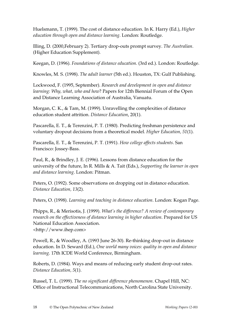Huelsmann, T. (1999). The cost of distance education. In K. Harry (Ed.), *Higher education through open and distance learning*. London: Routledge.

Illing, D. (2000,February 2). Tertiary drop-outs prompt survey. *The Australian*. (Higher Education Supplement).

Keegan, D. (1996). *Foundations of distance education*. (3rd ed.). London: Routledge.

Knowles, M. S. (1998). *The adult learner* (5th ed.). Houston, TX: Gulf Publishing.

Lockwood, F. (1995, September). *Research and development in open and distance learning: Why, what, who and how*? Papers for 12th Biennial Forum of the Open and Distance Learning Association of Australia, Vanuatu.

Morgan, C. K., & Tam, M. (1999). Unravelling the complexities of distance education student attrition. *Distance Education*, 20(1).

Pascarella, E. T., & Terenzini, P. T. (1980). Predicting freshman persistence and voluntary dropout decisions from a theoretical model. *Higher Education, 51*(1).

Pascarella, E. T., & Terenzini, P. T. (1991). *How college affects students*. San Francisco: Jossey-Bass.

Paul, R., & Brindley, J. E. (1996). Lessons from distance education for the university of the future, In R. Mills & A. Tait (Eds.), *Supporting the learner in open and distance learning*. London: Pitman.

Peters, O. (1992). Some observations on dropping out in distance education. *Distance Education, 13*(2).

Peters, O. (1998). *Learning and teaching in distance education*. London: Kogan Page.

Phipps, R., & Merisotis, J. (1999). *What's the difference? A review of contemporary research on the effectiveness of distance learning in higher education*. Prepared for US National Education Association.

<http://www.ihep.com>

Powell, R., & Woodley, A. (1993 June 26-30). Re-thinking drop-out in distance education. In D. Seward (Ed.), *One world many voices: quality in open and distance learning*. 17th ICDE World Conference, Birmingham.

Roberts, D. (1984). Ways and means of reducing early student drop-out rates. *Distance Education, 5*(1).

Russel, T. L. (1999). *The no significant difference phenomenon*. Chapel Hill, NC: Office of Instructional Telecommunications, North Carolina State University.